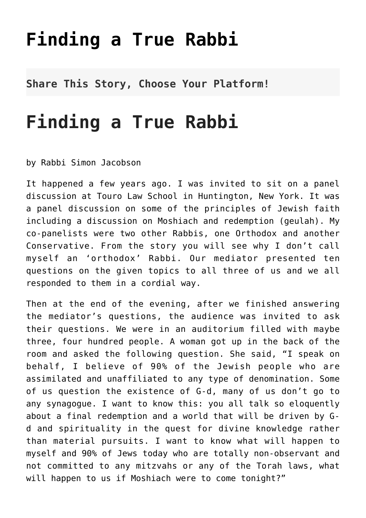## **[Finding a True Rabbi](http://noahide.org/finding-a-true-rabbi/)**

**Share This Story, Choose Your Platform!**

## **Finding a True Rabbi**

by Rabbi Simon Jacobson

It happened a few years ago. I was invited to sit on a panel discussion at Touro Law School in Huntington, New York. It was a panel discussion on some of the principles of Jewish faith including a discussion on Moshiach and redemption (geulah). My co-panelists were two other Rabbis, one Orthodox and another Conservative. From the story you will see why I don't call myself an 'orthodox' Rabbi. Our mediator presented ten questions on the given topics to all three of us and we all responded to them in a cordial way.

Then at the end of the evening, after we finished answering the mediator's questions, the audience was invited to ask their questions. We were in an auditorium filled with maybe three, four hundred people. A woman got up in the back of the room and asked the following question. She said, "I speak on behalf, I believe of 90% of the Jewish people who are assimilated and unaffiliated to any type of denomination. Some of us question the existence of G-d, many of us don't go to any synagogue. I want to know this: you all talk so eloquently about a final redemption and a world that will be driven by Gd and spirituality in the quest for divine knowledge rather than material pursuits. I want to know what will happen to myself and 90% of Jews today who are totally non-observant and not committed to any mitzvahs or any of the Torah laws, what will happen to us if Moshiach were to come tonight?"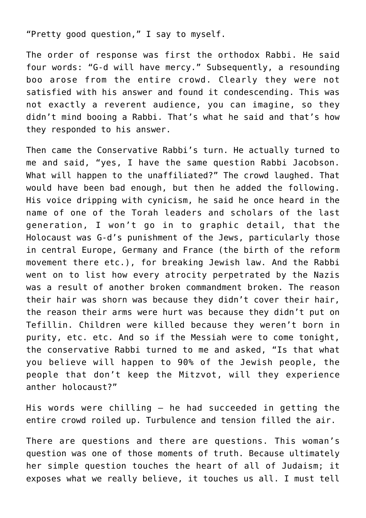"Pretty good question," I say to myself.

The order of response was first the orthodox Rabbi. He said four words: "G-d will have mercy." Subsequently, a resounding boo arose from the entire crowd. Clearly they were not satisfied with his answer and found it condescending. This was not exactly a reverent audience, you can imagine, so they didn't mind booing a Rabbi. That's what he said and that's how they responded to his answer.

Then came the Conservative Rabbi's turn. He actually turned to me and said, "yes, I have the same question Rabbi Jacobson. What will happen to the unaffiliated?" The crowd laughed. That would have been bad enough, but then he added the following. His voice dripping with cynicism, he said he once heard in the name of one of the Torah leaders and scholars of the last generation, I won't go in to graphic detail, that the Holocaust was G-d's punishment of the Jews, particularly those in central Europe, Germany and France (the birth of the reform movement there etc.), for breaking Jewish law. And the Rabbi went on to list how every atrocity perpetrated by the Nazis was a result of another broken commandment broken. The reason their hair was shorn was because they didn't cover their hair, the reason their arms were hurt was because they didn't put on Tefillin. Children were killed because they weren't born in purity, etc. etc. And so if the Messiah were to come tonight, the conservative Rabbi turned to me and asked, "Is that what you believe will happen to 90% of the Jewish people, the people that don't keep the Mitzvot, will they experience anther holocaust?"

His words were chilling — he had succeeded in getting the entire crowd roiled up. Turbulence and tension filled the air.

There are questions and there are questions. This woman's question was one of those moments of truth. Because ultimately her simple question touches the heart of all of Judaism; it exposes what we really believe, it touches us all. I must tell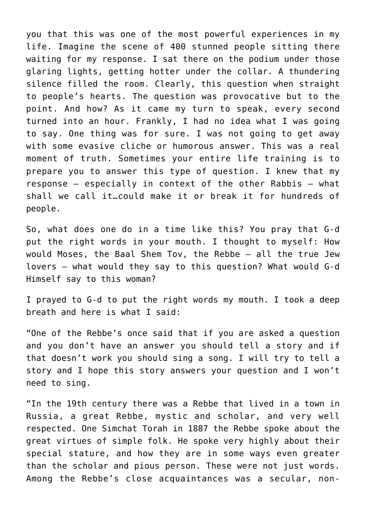you that this was one of the most powerful experiences in my life. Imagine the scene of 400 stunned people sitting there waiting for my response. I sat there on the podium under those glaring lights, getting hotter under the collar. A thundering silence filled the room. Clearly, this question when straight to people's hearts. The question was provocative but to the point. And how? As it came my turn to speak, every second turned into an hour. Frankly, I had no idea what I was going to say. One thing was for sure. I was not going to get away with some evasive cliche or humorous answer. This was a real moment of truth. Sometimes your entire life training is to prepare you to answer this type of question. I knew that my response – especially in context of the other Rabbis – what shall we call it…could make it or break it for hundreds of people.

So, what does one do in a time like this? You pray that G-d put the right words in your mouth. I thought to myself: How would Moses, the Baal Shem Tov, the Rebbe – all the true Jew lovers – what would they say to this question? What would G-d Himself say to this woman?

I prayed to G-d to put the right words my mouth. I took a deep breath and here is what I said:

"One of the Rebbe's once said that if you are asked a question and you don't have an answer you should tell a story and if that doesn't work you should sing a song. I will try to tell a story and I hope this story answers your question and I won't need to sing.

"In the 19th century there was a Rebbe that lived in a town in Russia, a great Rebbe, mystic and scholar, and very well respected. One Simchat Torah in 1887 the Rebbe spoke about the great virtues of simple folk. He spoke very highly about their special stature, and how they are in some ways even greater than the scholar and pious person. These were not just words. Among the Rebbe's close acquaintances was a secular, non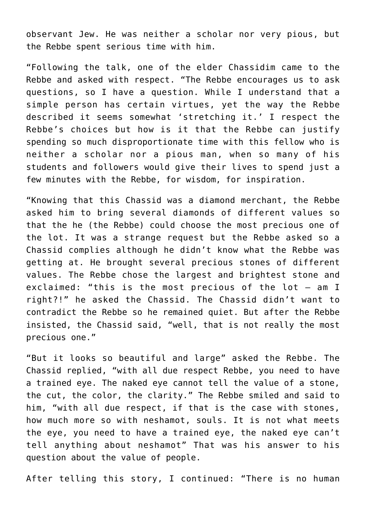observant Jew. He was neither a scholar nor very pious, but the Rebbe spent serious time with him.

"Following the talk, one of the elder Chassidim came to the Rebbe and asked with respect. "The Rebbe encourages us to ask questions, so I have a question. While I understand that a simple person has certain virtues, yet the way the Rebbe described it seems somewhat 'stretching it.' I respect the Rebbe's choices but how is it that the Rebbe can justify spending so much disproportionate time with this fellow who is neither a scholar nor a pious man, when so many of his students and followers would give their lives to spend just a few minutes with the Rebbe, for wisdom, for inspiration.

"Knowing that this Chassid was a diamond merchant, the Rebbe asked him to bring several diamonds of different values so that the he (the Rebbe) could choose the most precious one of the lot. It was a strange request but the Rebbe asked so a Chassid complies although he didn't know what the Rebbe was getting at. He brought several precious stones of different values. The Rebbe chose the largest and brightest stone and exclaimed: "this is the most precious of the lot – am I right?!" he asked the Chassid. The Chassid didn't want to contradict the Rebbe so he remained quiet. But after the Rebbe insisted, the Chassid said, "well, that is not really the most precious one."

"But it looks so beautiful and large" asked the Rebbe. The Chassid replied, "with all due respect Rebbe, you need to have a trained eye. The naked eye cannot tell the value of a stone, the cut, the color, the clarity." The Rebbe smiled and said to him, "with all due respect, if that is the case with stones, how much more so with neshamot, souls. It is not what meets the eye, you need to have a trained eye, the naked eye can't tell anything about neshamot" That was his answer to his question about the value of people.

After telling this story, I continued: "There is no human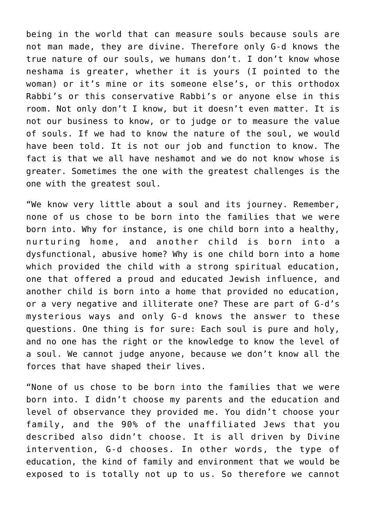being in the world that can measure souls because souls are not man made, they are divine. Therefore only G-d knows the true nature of our souls, we humans don't. I don't know whose neshama is greater, whether it is yours (I pointed to the woman) or it's mine or its someone else's, or this orthodox Rabbi's or this conservative Rabbi's or anyone else in this room. Not only don't I know, but it doesn't even matter. It is not our business to know, or to judge or to measure the value of souls. If we had to know the nature of the soul, we would have been told. It is not our job and function to know. The fact is that we all have neshamot and we do not know whose is greater. Sometimes the one with the greatest challenges is the one with the greatest soul.

"We know very little about a soul and its journey. Remember, none of us chose to be born into the families that we were born into. Why for instance, is one child born into a healthy, nurturing home, and another child is born into a dysfunctional, abusive home? Why is one child born into a home which provided the child with a strong spiritual education, one that offered a proud and educated Jewish influence, and another child is born into a home that provided no education, or a very negative and illiterate one? These are part of G-d's mysterious ways and only G-d knows the answer to these questions. One thing is for sure: Each soul is pure and holy, and no one has the right or the knowledge to know the level of a soul. We cannot judge anyone, because we don't know all the forces that have shaped their lives.

"None of us chose to be born into the families that we were born into. I didn't choose my parents and the education and level of observance they provided me. You didn't choose your family, and the 90% of the unaffiliated Jews that you described also didn't choose. It is all driven by Divine intervention, G-d chooses. In other words, the type of education, the kind of family and environment that we would be exposed to is totally not up to us. So therefore we cannot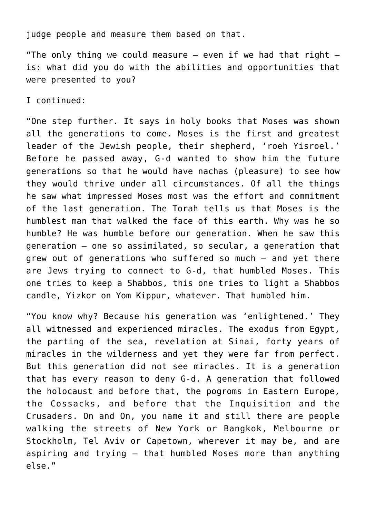judge people and measure them based on that.

"The only thing we could measure  $-$  even if we had that right  $$ is: what did you do with the abilities and opportunities that were presented to you?

I continued:

"One step further. It says in holy books that Moses was shown all the generations to come. Moses is the first and greatest leader of the Jewish people, their shepherd, 'roeh Yisroel.' Before he passed away, G-d wanted to show him the future generations so that he would have nachas (pleasure) to see how they would thrive under all circumstances. Of all the things he saw what impressed Moses most was the effort and commitment of the last generation. The Torah tells us that Moses is the humblest man that walked the face of this earth. Why was he so humble? He was humble before our generation. When he saw this generation – one so assimilated, so secular, a generation that grew out of generations who suffered so much – and yet there are Jews trying to connect to G-d, that humbled Moses. This one tries to keep a Shabbos, this one tries to light a Shabbos candle, Yizkor on Yom Kippur, whatever. That humbled him.

"You know why? Because his generation was 'enlightened.' They all witnessed and experienced miracles. The exodus from Egypt, the parting of the sea, revelation at Sinai, forty years of miracles in the wilderness and yet they were far from perfect. But this generation did not see miracles. It is a generation that has every reason to deny G-d. A generation that followed the holocaust and before that, the pogroms in Eastern Europe, the Cossacks, and before that the Inquisition and the Crusaders. On and On, you name it and still there are people walking the streets of New York or Bangkok, Melbourne or Stockholm, Tel Aviv or Capetown, wherever it may be, and are aspiring and trying – that humbled Moses more than anything else."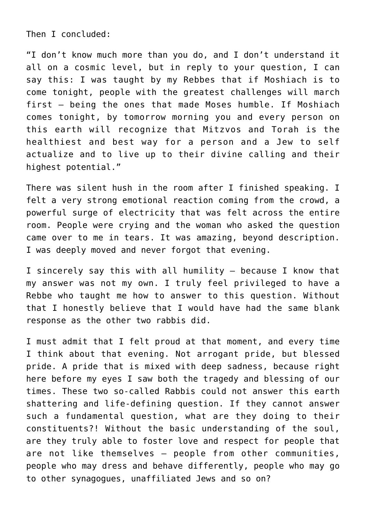Then I concluded:

"I don't know much more than you do, and I don't understand it all on a cosmic level, but in reply to your question, I can say this: I was taught by my Rebbes that if Moshiach is to come tonight, people with the greatest challenges will march first – being the ones that made Moses humble. If Moshiach comes tonight, by tomorrow morning you and every person on this earth will recognize that Mitzvos and Torah is the healthiest and best way for a person and a Jew to self actualize and to live up to their divine calling and their highest potential."

There was silent hush in the room after I finished speaking. I felt a very strong emotional reaction coming from the crowd, a powerful surge of electricity that was felt across the entire room. People were crying and the woman who asked the question came over to me in tears. It was amazing, beyond description. I was deeply moved and never forgot that evening.

I sincerely say this with all humility – because I know that my answer was not my own. I truly feel privileged to have a Rebbe who taught me how to answer to this question. Without that I honestly believe that I would have had the same blank response as the other two rabbis did.

I must admit that I felt proud at that moment, and every time I think about that evening. Not arrogant pride, but blessed pride. A pride that is mixed with deep sadness, because right here before my eyes I saw both the tragedy and blessing of our times. These two so-called Rabbis could not answer this earth shattering and life-defining question. If they cannot answer such a fundamental question, what are they doing to their constituents?! Without the basic understanding of the soul, are they truly able to foster love and respect for people that are not like themselves – people from other communities, people who may dress and behave differently, people who may go to other synagogues, unaffiliated Jews and so on?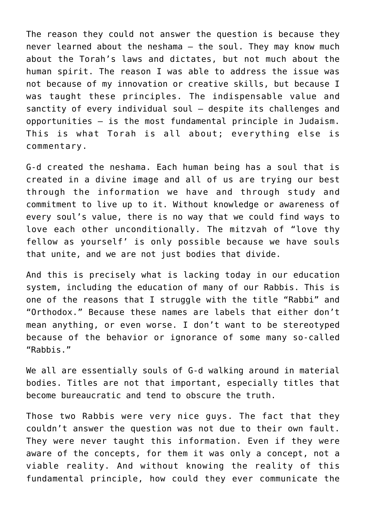The reason they could not answer the question is because they never learned about the neshama – the soul. They may know much about the Torah's laws and dictates, but not much about the human spirit. The reason I was able to address the issue was not because of my innovation or creative skills, but because I was taught these principles. The indispensable value and sanctity of every individual soul – despite its challenges and opportunities – is the most fundamental principle in Judaism. This is what Torah is all about; everything else is commentary.

G-d created the neshama. Each human being has a soul that is created in a divine image and all of us are trying our best through the information we have and through study and commitment to live up to it. Without knowledge or awareness of every soul's value, there is no way that we could find ways to love each other unconditionally. The mitzvah of "love thy fellow as yourself' is only possible because we have souls that unite, and we are not just bodies that divide.

And this is precisely what is lacking today in our education system, including the education of many of our Rabbis. This is one of the reasons that I struggle with the title "Rabbi" and "Orthodox." Because these names are labels that either don't mean anything, or even worse. I don't want to be stereotyped because of the behavior or ignorance of some many so-called "Rabbis."

We all are essentially souls of G-d walking around in material bodies. Titles are not that important, especially titles that become bureaucratic and tend to obscure the truth.

Those two Rabbis were very nice guys. The fact that they couldn't answer the question was not due to their own fault. They were never taught this information. Even if they were aware of the concepts, for them it was only a concept, not a viable reality. And without knowing the reality of this fundamental principle, how could they ever communicate the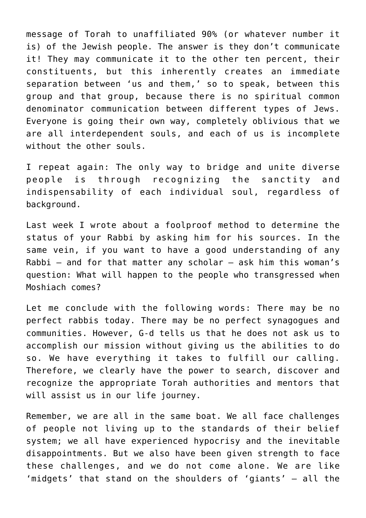message of Torah to unaffiliated 90% (or whatever number it is) of the Jewish people. The answer is they don't communicate it! They may communicate it to the other ten percent, their constituents, but this inherently creates an immediate separation between 'us and them,' so to speak, between this group and that group, because there is no spiritual common denominator communication between different types of Jews. Everyone is going their own way, completely oblivious that we are all interdependent souls, and each of us is incomplete without the other souls.

I repeat again: The only way to bridge and unite diverse people is through recognizing the sanctity and indispensability of each individual soul, regardless of background.

Last week I wrote about a foolproof method to determine the status of your Rabbi by asking him for his sources. In the same vein, if you want to have a good understanding of any Rabbi – and for that matter any scholar – ask him this woman's question: What will happen to the people who transgressed when Moshiach comes?

Let me conclude with the following words: There may be no perfect rabbis today. There may be no perfect synagogues and communities. However, G-d tells us that he does not ask us to accomplish our mission without giving us the abilities to do so. We have everything it takes to fulfill our calling. Therefore, we clearly have the power to search, discover and recognize the appropriate Torah authorities and mentors that will assist us in our life journey.

Remember, we are all in the same boat. We all face challenges of people not living up to the standards of their belief system; we all have experienced hypocrisy and the inevitable disappointments. But we also have been given strength to face these challenges, and we do not come alone. We are like 'midgets' that stand on the shoulders of 'giants' – all the